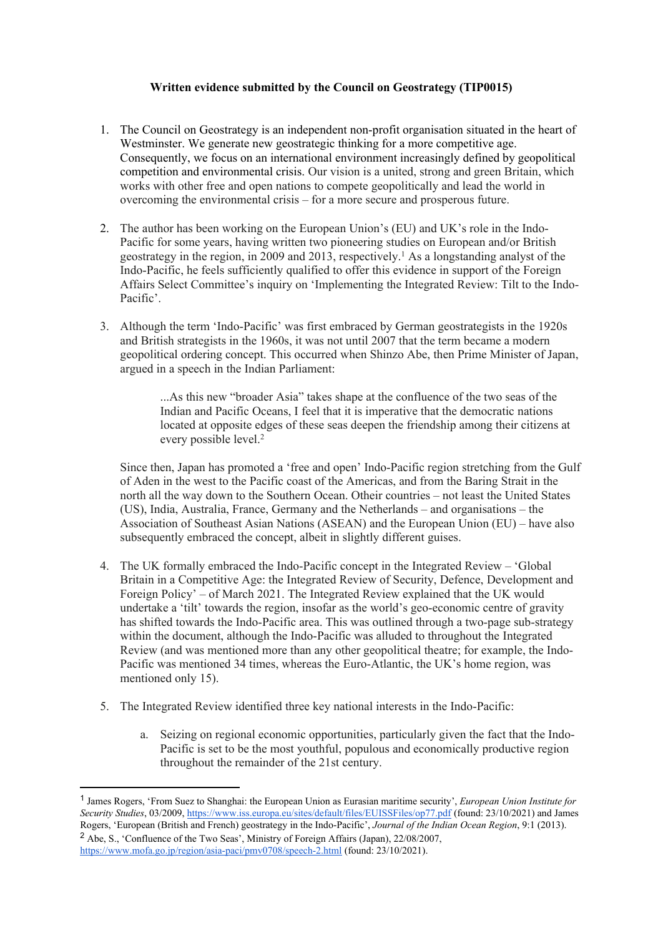## **Written evidence submitted by the Council on Geostrategy (TIP0015)**

- 1. The Council on Geostrategy is an independent non-profit organisation situated in the heart of Westminster. We generate new geostrategic thinking for a more competitive age. Consequently, we focus on an international environment increasingly defined by geopolitical competition and environmental crisis. Our vision is a united, strong and green Britain, which works with other free and open nations to compete geopolitically and lead the world in overcoming the environmental crisis – for a more secure and prosperous future.
- 2. The author has been working on the European Union's (EU) and UK's role in the Indo-Pacific for some years, having written two pioneering studies on European and/or British geostrategy in the region, in 2009 and 2013, respectively.<sup>1</sup> As a longstanding analyst of the Indo-Pacific, he feels sufficiently qualified to offer this evidence in support of the Foreign Affairs Select Committee's inquiry on 'Implementing the Integrated Review: Tilt to the Indo-Pacific'.
- 3. Although the term 'Indo-Pacific' was first embraced by German geostrategists in the 1920s and British strategists in the 1960s, it was not until 2007 that the term became a modern geopolitical ordering concept. This occurred when Shinzo Abe, then Prime Minister of Japan, argued in a speech in the Indian Parliament:

...As this new "broader Asia" takes shape at the confluence of the two seas of the Indian and Pacific Oceans, I feel that it is imperative that the democratic nations located at opposite edges of these seas deepen the friendship among their citizens at every possible level.<sup>2</sup>

Since then, Japan has promoted a 'free and open' Indo-Pacific region stretching from the Gulf of Aden in the west to the Pacific coast of the Americas, and from the Baring Strait in the north all the way down to the Southern Ocean. Otheir countries – not least the United States (US), India, Australia, France, Germany and the Netherlands – and organisations – the Association of Southeast Asian Nations (ASEAN) and the European Union (EU) – have also subsequently embraced the concept, albeit in slightly different guises.

- 4. The UK formally embraced the Indo-Pacific concept in the Integrated Review 'Global Britain in a Competitive Age: the Integrated Review of Security, Defence, Development and Foreign Policy' – of March 2021. The Integrated Review explained that the UK would undertake a 'tilt' towards the region, insofar as the world's geo-economic centre of gravity has shifted towards the Indo-Pacific area. This was outlined through a two-page sub-strategy within the document, although the Indo-Pacific was alluded to throughout the Integrated Review (and was mentioned more than any other geopolitical theatre; for example, the Indo-Pacific was mentioned 34 times, whereas the Euro-Atlantic, the UK's home region, was mentioned only 15).
- 5. The Integrated Review identified three key national interests in the Indo-Pacific:
	- a. Seizing on regional economic opportunities, particularly given the fact that the Indo-Pacific is set to be the most youthful, populous and economically productive region throughout the remainder of the 21st century.

<sup>1</sup> James Rogers, 'From Suez to Shanghai: the European Union as Eurasian maritime security', *European Union Institute for Security Studies*, 03/2009, <https://www.iss.europa.eu/sites/default/files/EUISSFiles/op77.pdf> (found: 23/10/2021) and James Rogers, 'European (British and French) geostrategy in the Indo-Pacific', *Journal of the Indian Ocean Region*, 9:1 (2013). <sup>2</sup> Abe, S., 'Confluence of the Two Seas', Ministry of Foreign Affairs (Japan), 22/08/2007, <https://www.mofa.go.jp/region/asia-paci/pmv0708/speech-2.html> (found: 23/10/2021).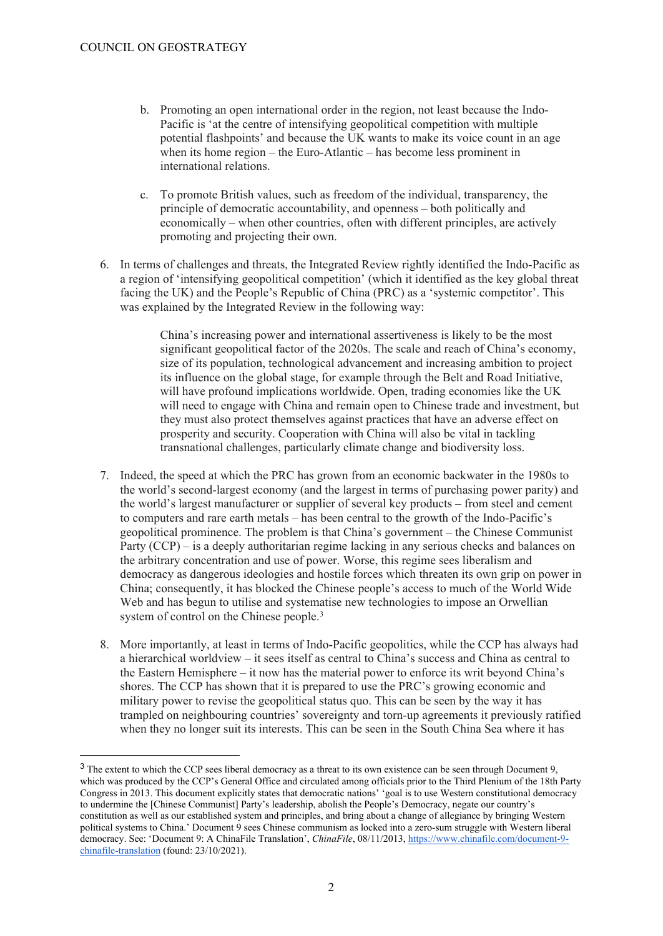- b. Promoting an open international order in the region, not least because the Indo-Pacific is 'at the centre of intensifying geopolitical competition with multiple potential flashpoints' and because the UK wants to make its voice count in an age when its home region – the Euro-Atlantic – has become less prominent in international relations.
- c. To promote British values, such as freedom of the individual, transparency, the principle of democratic accountability, and openness – both politically and economically – when other countries, often with different principles, are actively promoting and projecting their own.
- 6. In terms of challenges and threats, the Integrated Review rightly identified the Indo-Pacific as a region of 'intensifying geopolitical competition' (which it identified as the key global threat facing the UK) and the People's Republic of China (PRC) as a 'systemic competitor'. This was explained by the Integrated Review in the following way:

China's increasing power and international assertiveness is likely to be the most significant geopolitical factor of the 2020s. The scale and reach of China's economy, size of its population, technological advancement and increasing ambition to project its influence on the global stage, for example through the Belt and Road Initiative, will have profound implications worldwide. Open, trading economies like the UK will need to engage with China and remain open to Chinese trade and investment, but they must also protect themselves against practices that have an adverse effect on prosperity and security. Cooperation with China will also be vital in tackling transnational challenges, particularly climate change and biodiversity loss.

- 7. Indeed, the speed at which the PRC has grown from an economic backwater in the 1980s to the world's second-largest economy (and the largest in terms of purchasing power parity) and the world's largest manufacturer or supplier of several key products – from steel and cement to computers and rare earth metals – has been central to the growth of the Indo-Pacific's geopolitical prominence. The problem is that China's government – the Chinese Communist Party (CCP) – is a deeply authoritarian regime lacking in any serious checks and balances on the arbitrary concentration and use of power. Worse, this regime sees liberalism and democracy as dangerous ideologies and hostile forces which threaten its own grip on power in China; consequently, it has blocked the Chinese people's access to much of the World Wide Web and has begun to utilise and systematise new technologies to impose an Orwellian system of control on the Chinese people.<sup>3</sup>
- 8. More importantly, at least in terms of Indo-Pacific geopolitics, while the CCP has always had a hierarchical worldview – it sees itself as central to China's success and China as central to the Eastern Hemisphere – it now has the material power to enforce its writ beyond China's shores. The CCP has shown that it is prepared to use the PRC's growing economic and military power to revise the geopolitical status quo. This can be seen by the way it has trampled on neighbouring countries' sovereignty and torn-up agreements it previously ratified when they no longer suit its interests. This can be seen in the South China Sea where it has

<sup>&</sup>lt;sup>3</sup> The extent to which the CCP sees liberal democracy as a threat to its own existence can be seen through Document 9, which was produced by the CCP's General Office and circulated among officials prior to the Third Plenium of the 18th Party Congress in 2013. This document explicitly states that democratic nations' 'goal is to use Western constitutional democracy to undermine the [Chinese Communist] Party's leadership, abolish the People's Democracy, negate our country's constitution as well as our established system and principles, and bring about a change of allegiance by bringing Western political systems to China.' Document 9 sees Chinese communism as locked into a zero-sum struggle with Western liberal democracy. See: 'Document 9: A ChinaFile Translation', *ChinaFile*, 08/11/2013, [https://www.chinafile.com/document-9](https://www.chinafile.com/document-9-chinafile-translation) [chinafile-translation](https://www.chinafile.com/document-9-chinafile-translation) (found: 23/10/2021).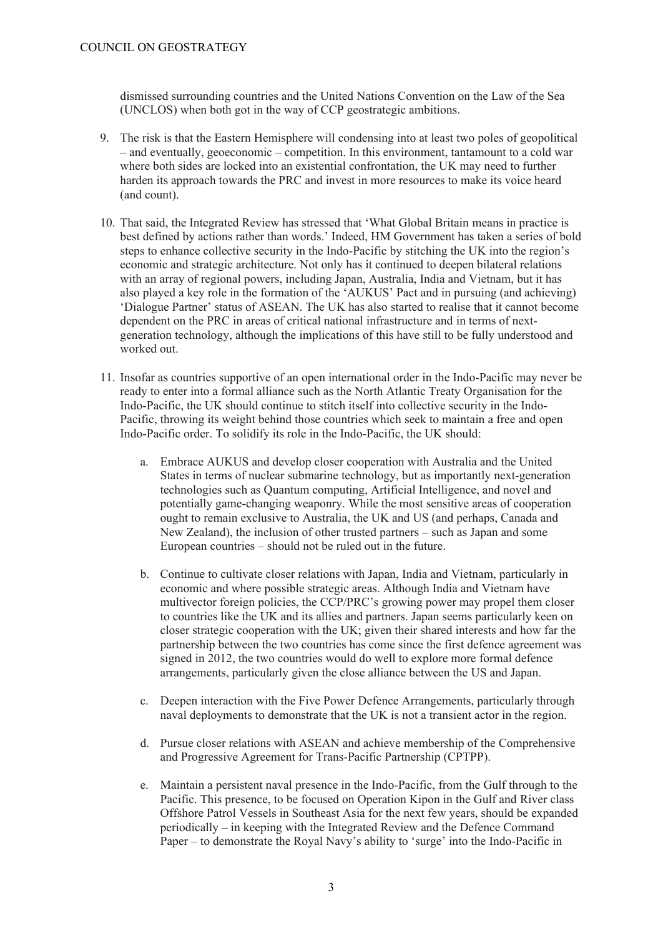dismissed surrounding countries and the United Nations Convention on the Law of the Sea (UNCLOS) when both got in the way of CCP geostrategic ambitions.

- 9. The risk is that the Eastern Hemisphere will condensing into at least two poles of geopolitical – and eventually, geoeconomic – competition. In this environment, tantamount to a cold war where both sides are locked into an existential confrontation, the UK may need to further harden its approach towards the PRC and invest in more resources to make its voice heard (and count).
- 10. That said, the Integrated Review has stressed that 'What Global Britain means in practice is best defined by actions rather than words.' Indeed, HM Government has taken a series of bold steps to enhance collective security in the Indo-Pacific by stitching the UK into the region's economic and strategic architecture. Not only has it continued to deepen bilateral relations with an array of regional powers, including Japan, Australia, India and Vietnam, but it has also played a key role in the formation of the 'AUKUS' Pact and in pursuing (and achieving) 'Dialogue Partner' status of ASEAN. The UK has also started to realise that it cannot become dependent on the PRC in areas of critical national infrastructure and in terms of nextgeneration technology, although the implications of this have still to be fully understood and worked out.
- 11. Insofar as countries supportive of an open international order in the Indo-Pacific may never be ready to enter into a formal alliance such as the North Atlantic Treaty Organisation for the Indo-Pacific, the UK should continue to stitch itself into collective security in the Indo-Pacific, throwing its weight behind those countries which seek to maintain a free and open Indo-Pacific order. To solidify its role in the Indo-Pacific, the UK should:
	- a. Embrace AUKUS and develop closer cooperation with Australia and the United States in terms of nuclear submarine technology, but as importantly next-generation technologies such as Quantum computing, Artificial Intelligence, and novel and potentially game-changing weaponry. While the most sensitive areas of cooperation ought to remain exclusive to Australia, the UK and US (and perhaps, Canada and New Zealand), the inclusion of other trusted partners – such as Japan and some European countries – should not be ruled out in the future.
	- b. Continue to cultivate closer relations with Japan, India and Vietnam, particularly in economic and where possible strategic areas. Although India and Vietnam have multivector foreign policies, the CCP/PRC's growing power may propel them closer to countries like the UK and its allies and partners. Japan seems particularly keen on closer strategic cooperation with the UK; given their shared interests and how far the partnership between the two countries has come since the first defence agreement was signed in 2012, the two countries would do well to explore more formal defence arrangements, particularly given the close alliance between the US and Japan.
	- c. Deepen interaction with the Five Power Defence Arrangements, particularly through naval deployments to demonstrate that the UK is not a transient actor in the region.
	- d. Pursue closer relations with ASEAN and achieve membership of the Comprehensive and Progressive Agreement for Trans-Pacific Partnership (CPTPP).
	- e. Maintain a persistent naval presence in the Indo-Pacific, from the Gulf through to the Pacific. This presence, to be focused on Operation Kipon in the Gulf and River class Offshore Patrol Vessels in Southeast Asia for the next few years, should be expanded periodically – in keeping with the Integrated Review and the Defence Command Paper – to demonstrate the Royal Navy's ability to 'surge' into the Indo-Pacific in